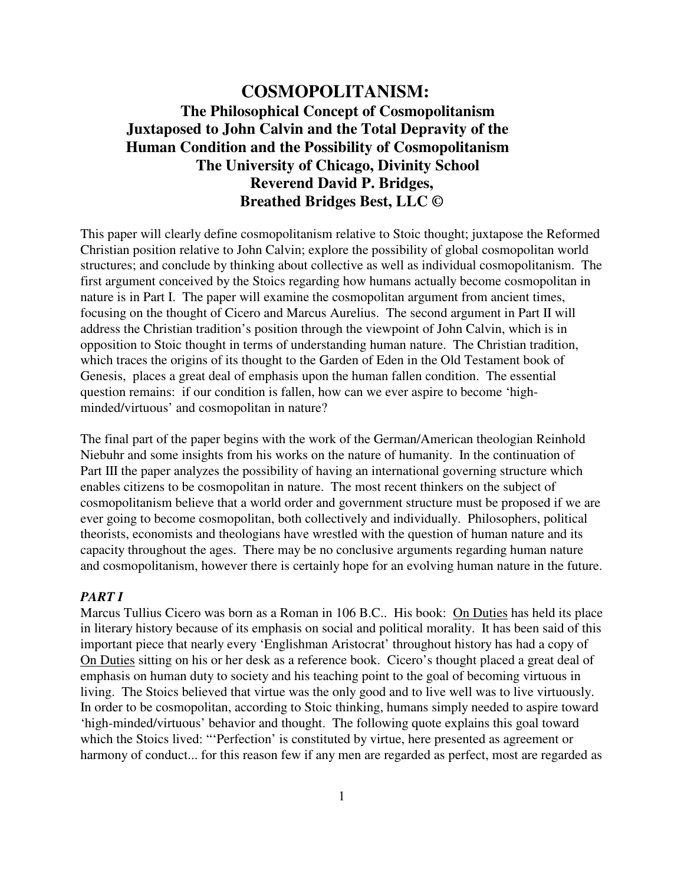# **COSMOPOLITANISM: The Philosophical Concept of Cosmopolitanism Juxtaposed to John Calvin and the Total Depravity of the Human Condition and the Possibility of Cosmopolitanism The University of Chicago, Divinity School Reverend David P. Bridges, Breathed Bridges Best, LLC ©**

This paper will clearly define cosmopolitanism relative to Stoic thought; juxtapose the Reformed Christian position relative to John Calvin; explore the possibility of global cosmopolitan world structures; and conclude by thinking about collective as well as individual cosmopolitanism. The first argument conceived by the Stoics regarding how humans actually become cosmopolitan in nature is in Part I. The paper will examine the cosmopolitan argument from ancient times, focusing on the thought of Cicero and Marcus Aurelius. The second argument in Part II will address the Christian tradition's position through the viewpoint of John Calvin, which is in opposition to Stoic thought in terms of understanding human nature. The Christian tradition, which traces the origins of its thought to the Garden of Eden in the Old Testament book of Genesis, places a great deal of emphasis upon the human fallen condition. The essential question remains: if our condition is fallen, how can we ever aspire to become 'highminded/virtuous' and cosmopolitan in nature?

The final part of the paper begins with the work of the German/American theologian Reinhold Niebuhr and some insights from his works on the nature of humanity. In the continuation of Part III the paper analyzes the possibility of having an international governing structure which enables citizens to be cosmopolitan in nature. The most recent thinkers on the subject of cosmopolitanism believe that a world order and government structure must be proposed if we are ever going to become cosmopolitan, both collectively and individually. Philosophers, political theorists, economists and theologians have wrestled with the question of human nature and its capacity throughout the ages. There may be no conclusive arguments regarding human nature and cosmopolitanism, however there is certainly hope for an evolving human nature in the future.

## *PART I*

Marcus Tullius Cicero was born as a Roman in 106 B.C.. His book: On Duties has held its place in literary history because of its emphasis on social and political morality. It has been said of this important piece that nearly every 'Englishman Aristocrat' throughout history has had a copy of On Duties sitting on his or her desk as a reference book. Cicero's thought placed a great deal of emphasis on human duty to society and his teaching point to the goal of becoming virtuous in living. The Stoics believed that virtue was the only good and to live well was to live virtuously. In order to be cosmopolitan, according to Stoic thinking, humans simply needed to aspire toward 'high-minded/virtuous' behavior and thought. The following quote explains this goal toward which the Stoics lived: "'Perfection' is constituted by virtue, here presented as agreement or harmony of conduct... for this reason few if any men are regarded as perfect, most are regarded as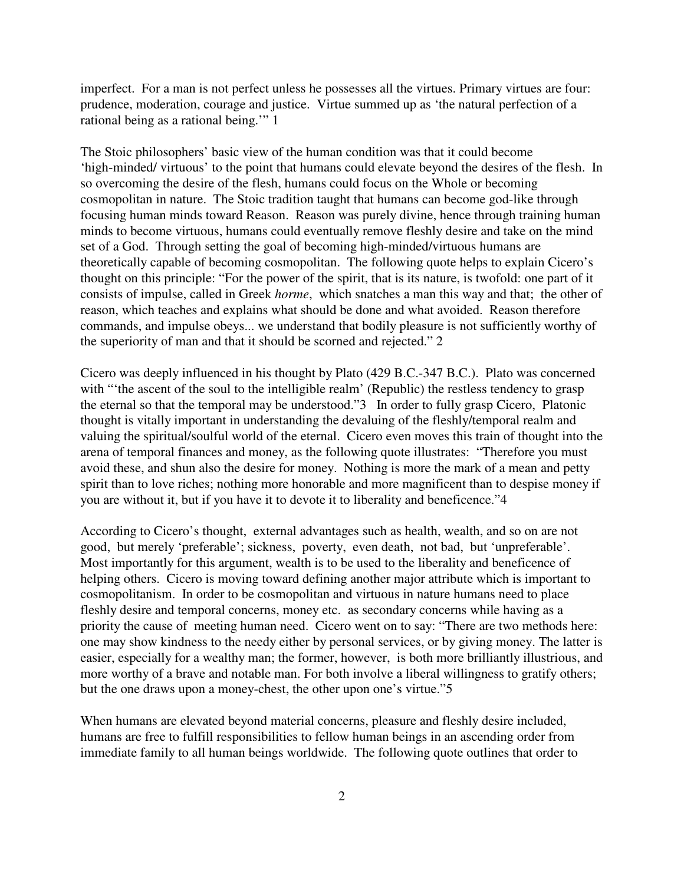imperfect. For a man is not perfect unless he possesses all the virtues. Primary virtues are four: prudence, moderation, courage and justice. Virtue summed up as 'the natural perfection of a rational being as a rational being.'" 1

The Stoic philosophers' basic view of the human condition was that it could become 'high-minded/ virtuous' to the point that humans could elevate beyond the desires of the flesh. In so overcoming the desire of the flesh, humans could focus on the Whole or becoming cosmopolitan in nature. The Stoic tradition taught that humans can become god-like through focusing human minds toward Reason. Reason was purely divine, hence through training human minds to become virtuous, humans could eventually remove fleshly desire and take on the mind set of a God. Through setting the goal of becoming high-minded/virtuous humans are theoretically capable of becoming cosmopolitan. The following quote helps to explain Cicero's thought on this principle: "For the power of the spirit, that is its nature, is twofold: one part of it consists of impulse, called in Greek *horme*, which snatches a man this way and that; the other of reason, which teaches and explains what should be done and what avoided. Reason therefore commands, and impulse obeys... we understand that bodily pleasure is not sufficiently worthy of the superiority of man and that it should be scorned and rejected." 2

Cicero was deeply influenced in his thought by Plato (429 B.C.-347 B.C.). Plato was concerned with "the ascent of the soul to the intelligible realm' (Republic) the restless tendency to grasp the eternal so that the temporal may be understood."3 In order to fully grasp Cicero, Platonic thought is vitally important in understanding the devaluing of the fleshly/temporal realm and valuing the spiritual/soulful world of the eternal. Cicero even moves this train of thought into the arena of temporal finances and money, as the following quote illustrates: "Therefore you must avoid these, and shun also the desire for money. Nothing is more the mark of a mean and petty spirit than to love riches; nothing more honorable and more magnificent than to despise money if you are without it, but if you have it to devote it to liberality and beneficence."4

According to Cicero's thought, external advantages such as health, wealth, and so on are not good, but merely 'preferable'; sickness, poverty, even death, not bad, but 'unpreferable'. Most importantly for this argument, wealth is to be used to the liberality and beneficence of helping others. Cicero is moving toward defining another major attribute which is important to cosmopolitanism. In order to be cosmopolitan and virtuous in nature humans need to place fleshly desire and temporal concerns, money etc. as secondary concerns while having as a priority the cause of meeting human need. Cicero went on to say: "There are two methods here: one may show kindness to the needy either by personal services, or by giving money. The latter is easier, especially for a wealthy man; the former, however, is both more brilliantly illustrious, and more worthy of a brave and notable man. For both involve a liberal willingness to gratify others; but the one draws upon a money-chest, the other upon one's virtue."5

When humans are elevated beyond material concerns, pleasure and fleshly desire included, humans are free to fulfill responsibilities to fellow human beings in an ascending order from immediate family to all human beings worldwide. The following quote outlines that order to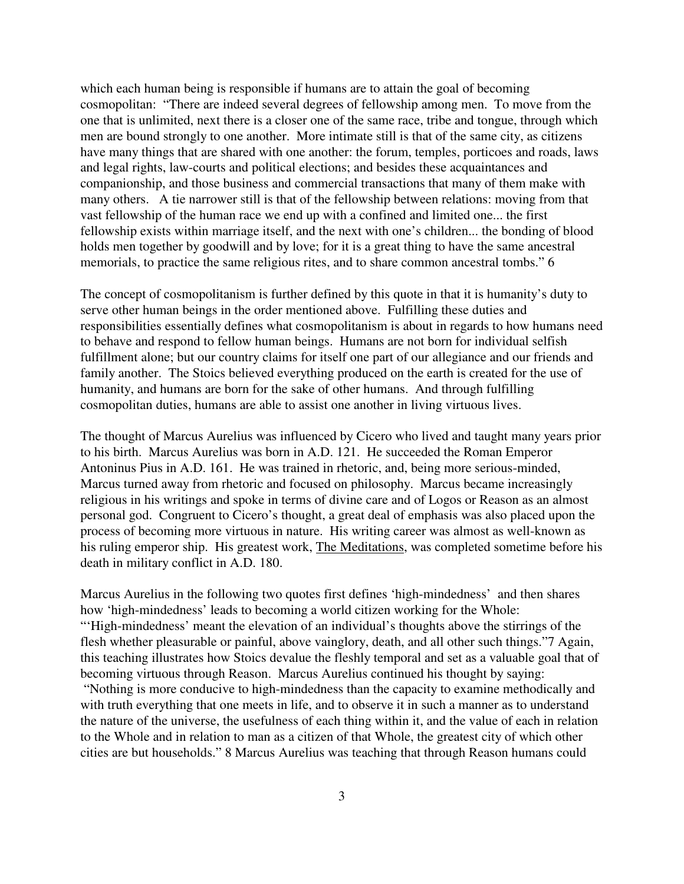which each human being is responsible if humans are to attain the goal of becoming cosmopolitan: "There are indeed several degrees of fellowship among men. To move from the one that is unlimited, next there is a closer one of the same race, tribe and tongue, through which men are bound strongly to one another. More intimate still is that of the same city, as citizens have many things that are shared with one another: the forum, temples, porticoes and roads, laws and legal rights, law-courts and political elections; and besides these acquaintances and companionship, and those business and commercial transactions that many of them make with many others. A tie narrower still is that of the fellowship between relations: moving from that vast fellowship of the human race we end up with a confined and limited one... the first fellowship exists within marriage itself, and the next with one's children... the bonding of blood holds men together by goodwill and by love; for it is a great thing to have the same ancestral memorials, to practice the same religious rites, and to share common ancestral tombs." 6

The concept of cosmopolitanism is further defined by this quote in that it is humanity's duty to serve other human beings in the order mentioned above. Fulfilling these duties and responsibilities essentially defines what cosmopolitanism is about in regards to how humans need to behave and respond to fellow human beings. Humans are not born for individual selfish fulfillment alone; but our country claims for itself one part of our allegiance and our friends and family another. The Stoics believed everything produced on the earth is created for the use of humanity, and humans are born for the sake of other humans. And through fulfilling cosmopolitan duties, humans are able to assist one another in living virtuous lives.

The thought of Marcus Aurelius was influenced by Cicero who lived and taught many years prior to his birth. Marcus Aurelius was born in A.D. 121. He succeeded the Roman Emperor Antoninus Pius in A.D. 161. He was trained in rhetoric, and, being more serious-minded, Marcus turned away from rhetoric and focused on philosophy. Marcus became increasingly religious in his writings and spoke in terms of divine care and of Logos or Reason as an almost personal god. Congruent to Cicero's thought, a great deal of emphasis was also placed upon the process of becoming more virtuous in nature. His writing career was almost as well-known as his ruling emperor ship. His greatest work, The Meditations, was completed sometime before his death in military conflict in A.D. 180.

Marcus Aurelius in the following two quotes first defines 'high-mindedness' and then shares how 'high-mindedness' leads to becoming a world citizen working for the Whole: "'High-mindedness' meant the elevation of an individual's thoughts above the stirrings of the flesh whether pleasurable or painful, above vainglory, death, and all other such things."7 Again, this teaching illustrates how Stoics devalue the fleshly temporal and set as a valuable goal that of becoming virtuous through Reason. Marcus Aurelius continued his thought by saying: "Nothing is more conducive to high-mindedness than the capacity to examine methodically and with truth everything that one meets in life, and to observe it in such a manner as to understand the nature of the universe, the usefulness of each thing within it, and the value of each in relation to the Whole and in relation to man as a citizen of that Whole, the greatest city of which other cities are but households." 8 Marcus Aurelius was teaching that through Reason humans could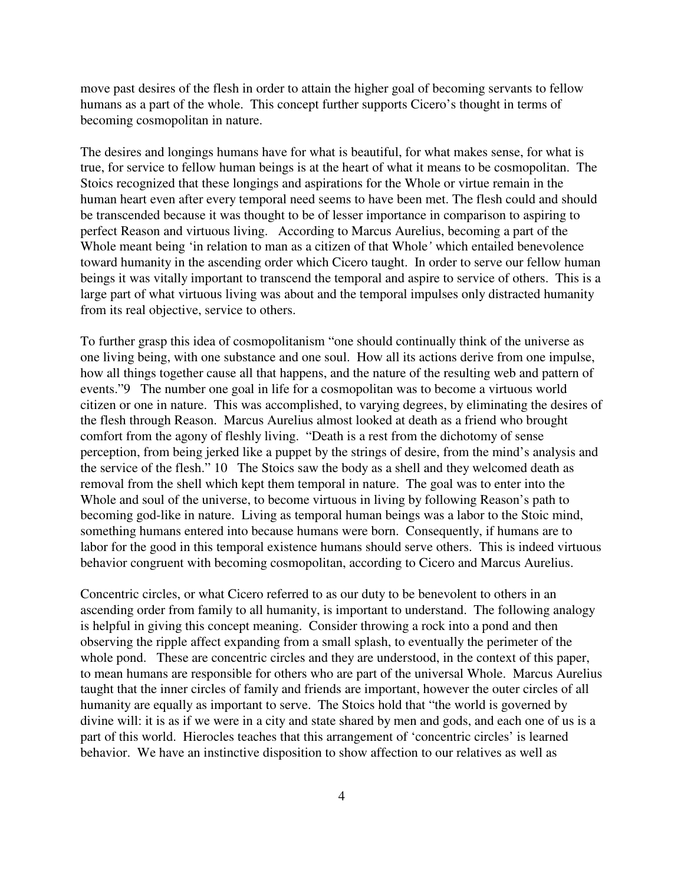move past desires of the flesh in order to attain the higher goal of becoming servants to fellow humans as a part of the whole. This concept further supports Cicero's thought in terms of becoming cosmopolitan in nature.

The desires and longings humans have for what is beautiful, for what makes sense, for what is true, for service to fellow human beings is at the heart of what it means to be cosmopolitan. The Stoics recognized that these longings and aspirations for the Whole or virtue remain in the human heart even after every temporal need seems to have been met. The flesh could and should be transcended because it was thought to be of lesser importance in comparison to aspiring to perfect Reason and virtuous living. According to Marcus Aurelius, becoming a part of the Whole meant being 'in relation to man as a citizen of that Whole*'* which entailed benevolence toward humanity in the ascending order which Cicero taught. In order to serve our fellow human beings it was vitally important to transcend the temporal and aspire to service of others. This is a large part of what virtuous living was about and the temporal impulses only distracted humanity from its real objective, service to others.

To further grasp this idea of cosmopolitanism "one should continually think of the universe as one living being, with one substance and one soul. How all its actions derive from one impulse, how all things together cause all that happens, and the nature of the resulting web and pattern of events."9 The number one goal in life for a cosmopolitan was to become a virtuous world citizen or one in nature. This was accomplished, to varying degrees, by eliminating the desires of the flesh through Reason. Marcus Aurelius almost looked at death as a friend who brought comfort from the agony of fleshly living. "Death is a rest from the dichotomy of sense perception, from being jerked like a puppet by the strings of desire, from the mind's analysis and the service of the flesh." 10 The Stoics saw the body as a shell and they welcomed death as removal from the shell which kept them temporal in nature. The goal was to enter into the Whole and soul of the universe, to become virtuous in living by following Reason's path to becoming god-like in nature. Living as temporal human beings was a labor to the Stoic mind, something humans entered into because humans were born. Consequently, if humans are to labor for the good in this temporal existence humans should serve others. This is indeed virtuous behavior congruent with becoming cosmopolitan, according to Cicero and Marcus Aurelius.

Concentric circles, or what Cicero referred to as our duty to be benevolent to others in an ascending order from family to all humanity, is important to understand. The following analogy is helpful in giving this concept meaning. Consider throwing a rock into a pond and then observing the ripple affect expanding from a small splash, to eventually the perimeter of the whole pond. These are concentric circles and they are understood, in the context of this paper, to mean humans are responsible for others who are part of the universal Whole. Marcus Aurelius taught that the inner circles of family and friends are important, however the outer circles of all humanity are equally as important to serve. The Stoics hold that "the world is governed by divine will: it is as if we were in a city and state shared by men and gods, and each one of us is a part of this world. Hierocles teaches that this arrangement of 'concentric circles' is learned behavior. We have an instinctive disposition to show affection to our relatives as well as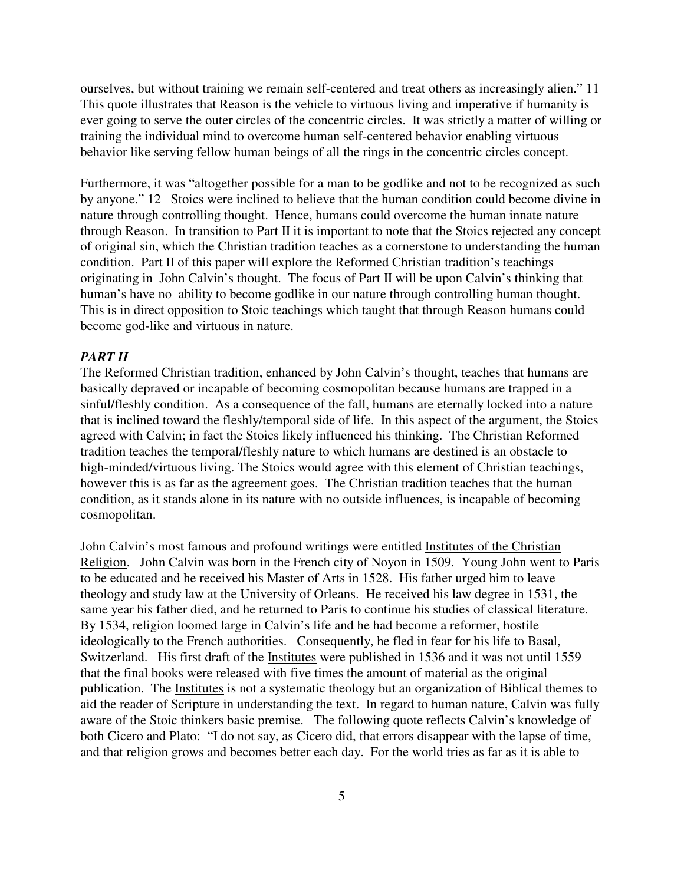ourselves, but without training we remain self-centered and treat others as increasingly alien." 11 This quote illustrates that Reason is the vehicle to virtuous living and imperative if humanity is ever going to serve the outer circles of the concentric circles. It was strictly a matter of willing or training the individual mind to overcome human self-centered behavior enabling virtuous behavior like serving fellow human beings of all the rings in the concentric circles concept.

Furthermore, it was "altogether possible for a man to be godlike and not to be recognized as such by anyone." 12 Stoics were inclined to believe that the human condition could become divine in nature through controlling thought. Hence, humans could overcome the human innate nature through Reason. In transition to Part II it is important to note that the Stoics rejected any concept of original sin, which the Christian tradition teaches as a cornerstone to understanding the human condition. Part II of this paper will explore the Reformed Christian tradition's teachings originating in John Calvin's thought. The focus of Part II will be upon Calvin's thinking that human's have no ability to become godlike in our nature through controlling human thought. This is in direct opposition to Stoic teachings which taught that through Reason humans could become god-like and virtuous in nature.

### *PART II*

The Reformed Christian tradition, enhanced by John Calvin's thought, teaches that humans are basically depraved or incapable of becoming cosmopolitan because humans are trapped in a sinful/fleshly condition. As a consequence of the fall, humans are eternally locked into a nature that is inclined toward the fleshly/temporal side of life. In this aspect of the argument, the Stoics agreed with Calvin; in fact the Stoics likely influenced his thinking. The Christian Reformed tradition teaches the temporal/fleshly nature to which humans are destined is an obstacle to high-minded/virtuous living. The Stoics would agree with this element of Christian teachings, however this is as far as the agreement goes. The Christian tradition teaches that the human condition, as it stands alone in its nature with no outside influences, is incapable of becoming cosmopolitan.

John Calvin's most famous and profound writings were entitled Institutes of the Christian Religion. John Calvin was born in the French city of Noyon in 1509. Young John went to Paris to be educated and he received his Master of Arts in 1528. His father urged him to leave theology and study law at the University of Orleans. He received his law degree in 1531, the same year his father died, and he returned to Paris to continue his studies of classical literature. By 1534, religion loomed large in Calvin's life and he had become a reformer, hostile ideologically to the French authorities. Consequently, he fled in fear for his life to Basal, Switzerland. His first draft of the Institutes were published in 1536 and it was not until 1559 that the final books were released with five times the amount of material as the original publication. The Institutes is not a systematic theology but an organization of Biblical themes to aid the reader of Scripture in understanding the text. In regard to human nature, Calvin was fully aware of the Stoic thinkers basic premise. The following quote reflects Calvin's knowledge of both Cicero and Plato: "I do not say, as Cicero did, that errors disappear with the lapse of time, and that religion grows and becomes better each day. For the world tries as far as it is able to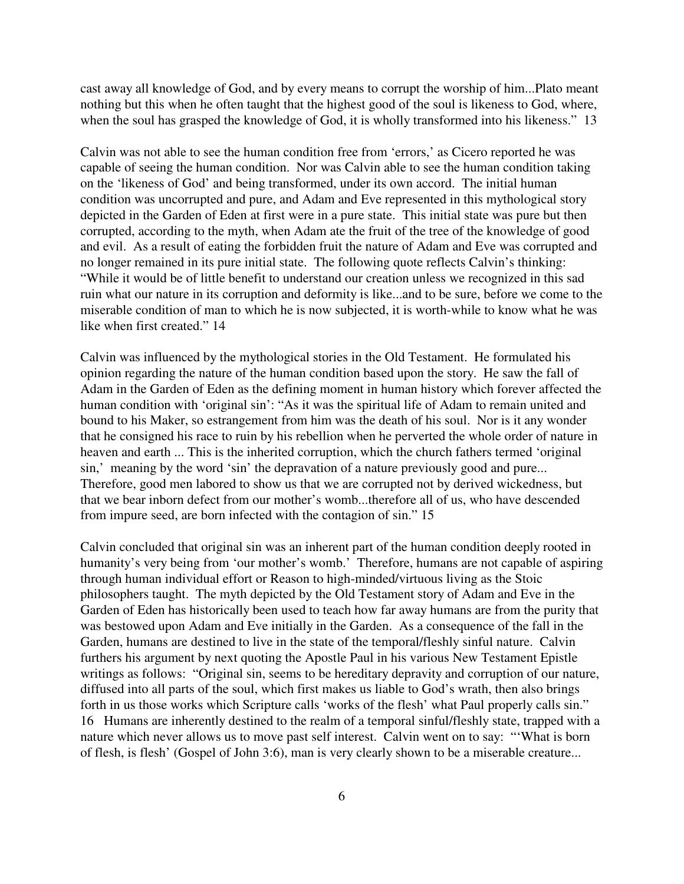cast away all knowledge of God, and by every means to corrupt the worship of him...Plato meant nothing but this when he often taught that the highest good of the soul is likeness to God, where, when the soul has grasped the knowledge of God, it is wholly transformed into his likeness." 13

Calvin was not able to see the human condition free from 'errors,' as Cicero reported he was capable of seeing the human condition. Nor was Calvin able to see the human condition taking on the 'likeness of God' and being transformed, under its own accord. The initial human condition was uncorrupted and pure, and Adam and Eve represented in this mythological story depicted in the Garden of Eden at first were in a pure state. This initial state was pure but then corrupted, according to the myth, when Adam ate the fruit of the tree of the knowledge of good and evil. As a result of eating the forbidden fruit the nature of Adam and Eve was corrupted and no longer remained in its pure initial state. The following quote reflects Calvin's thinking: "While it would be of little benefit to understand our creation unless we recognized in this sad ruin what our nature in its corruption and deformity is like...and to be sure, before we come to the miserable condition of man to which he is now subjected, it is worth-while to know what he was like when first created." 14

Calvin was influenced by the mythological stories in the Old Testament. He formulated his opinion regarding the nature of the human condition based upon the story. He saw the fall of Adam in the Garden of Eden as the defining moment in human history which forever affected the human condition with 'original sin': "As it was the spiritual life of Adam to remain united and bound to his Maker, so estrangement from him was the death of his soul. Nor is it any wonder that he consigned his race to ruin by his rebellion when he perverted the whole order of nature in heaven and earth ... This is the inherited corruption, which the church fathers termed 'original sin,' meaning by the word 'sin' the depravation of a nature previously good and pure... Therefore, good men labored to show us that we are corrupted not by derived wickedness, but that we bear inborn defect from our mother's womb...therefore all of us, who have descended from impure seed, are born infected with the contagion of sin." 15

Calvin concluded that original sin was an inherent part of the human condition deeply rooted in humanity's very being from 'our mother's womb.' Therefore, humans are not capable of aspiring through human individual effort or Reason to high-minded/virtuous living as the Stoic philosophers taught. The myth depicted by the Old Testament story of Adam and Eve in the Garden of Eden has historically been used to teach how far away humans are from the purity that was bestowed upon Adam and Eve initially in the Garden. As a consequence of the fall in the Garden, humans are destined to live in the state of the temporal/fleshly sinful nature. Calvin furthers his argument by next quoting the Apostle Paul in his various New Testament Epistle writings as follows: "Original sin, seems to be hereditary depravity and corruption of our nature, diffused into all parts of the soul, which first makes us liable to God's wrath, then also brings forth in us those works which Scripture calls 'works of the flesh' what Paul properly calls sin." 16 Humans are inherently destined to the realm of a temporal sinful/fleshly state, trapped with a nature which never allows us to move past self interest. Calvin went on to say: "'What is born of flesh, is flesh' (Gospel of John 3:6), man is very clearly shown to be a miserable creature...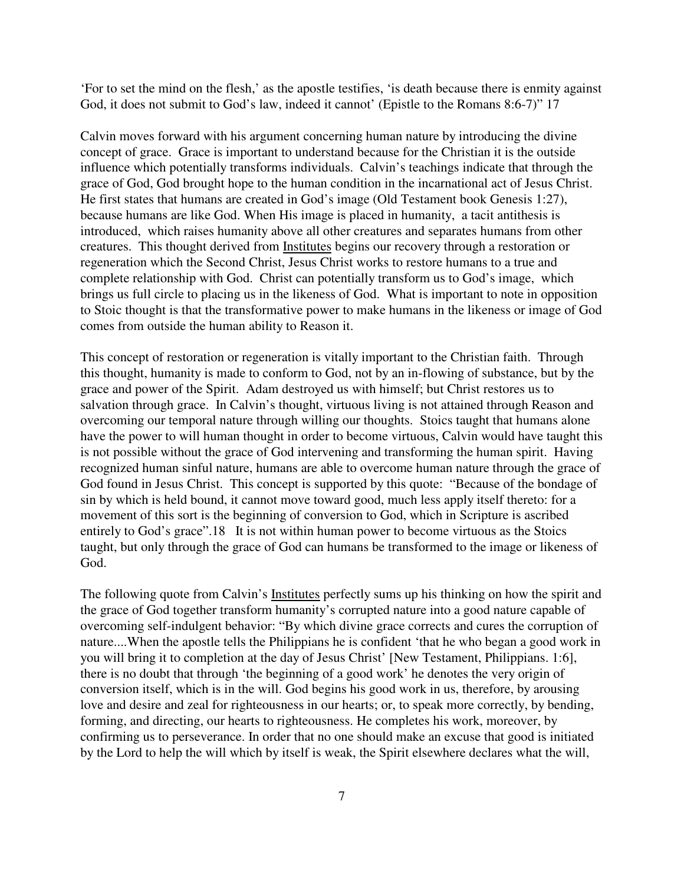'For to set the mind on the flesh,' as the apostle testifies, 'is death because there is enmity against God, it does not submit to God's law, indeed it cannot' (Epistle to the Romans 8:6-7)" 17

Calvin moves forward with his argument concerning human nature by introducing the divine concept of grace. Grace is important to understand because for the Christian it is the outside influence which potentially transforms individuals. Calvin's teachings indicate that through the grace of God, God brought hope to the human condition in the incarnational act of Jesus Christ. He first states that humans are created in God's image (Old Testament book Genesis 1:27), because humans are like God. When His image is placed in humanity, a tacit antithesis is introduced, which raises humanity above all other creatures and separates humans from other creatures. This thought derived from Institutes begins our recovery through a restoration or regeneration which the Second Christ, Jesus Christ works to restore humans to a true and complete relationship with God. Christ can potentially transform us to God's image, which brings us full circle to placing us in the likeness of God. What is important to note in opposition to Stoic thought is that the transformative power to make humans in the likeness or image of God comes from outside the human ability to Reason it.

This concept of restoration or regeneration is vitally important to the Christian faith. Through this thought, humanity is made to conform to God, not by an in-flowing of substance, but by the grace and power of the Spirit. Adam destroyed us with himself; but Christ restores us to salvation through grace. In Calvin's thought, virtuous living is not attained through Reason and overcoming our temporal nature through willing our thoughts. Stoics taught that humans alone have the power to will human thought in order to become virtuous, Calvin would have taught this is not possible without the grace of God intervening and transforming the human spirit. Having recognized human sinful nature, humans are able to overcome human nature through the grace of God found in Jesus Christ. This concept is supported by this quote: "Because of the bondage of sin by which is held bound, it cannot move toward good, much less apply itself thereto: for a movement of this sort is the beginning of conversion to God, which in Scripture is ascribed entirely to God's grace".18 It is not within human power to become virtuous as the Stoics taught, but only through the grace of God can humans be transformed to the image or likeness of God.

The following quote from Calvin's Institutes perfectly sums up his thinking on how the spirit and the grace of God together transform humanity's corrupted nature into a good nature capable of overcoming self-indulgent behavior: "By which divine grace corrects and cures the corruption of nature....When the apostle tells the Philippians he is confident 'that he who began a good work in you will bring it to completion at the day of Jesus Christ' [New Testament, Philippians. 1:6], there is no doubt that through 'the beginning of a good work' he denotes the very origin of conversion itself, which is in the will. God begins his good work in us, therefore, by arousing love and desire and zeal for righteousness in our hearts; or, to speak more correctly, by bending, forming, and directing, our hearts to righteousness. He completes his work, moreover, by confirming us to perseverance. In order that no one should make an excuse that good is initiated by the Lord to help the will which by itself is weak, the Spirit elsewhere declares what the will,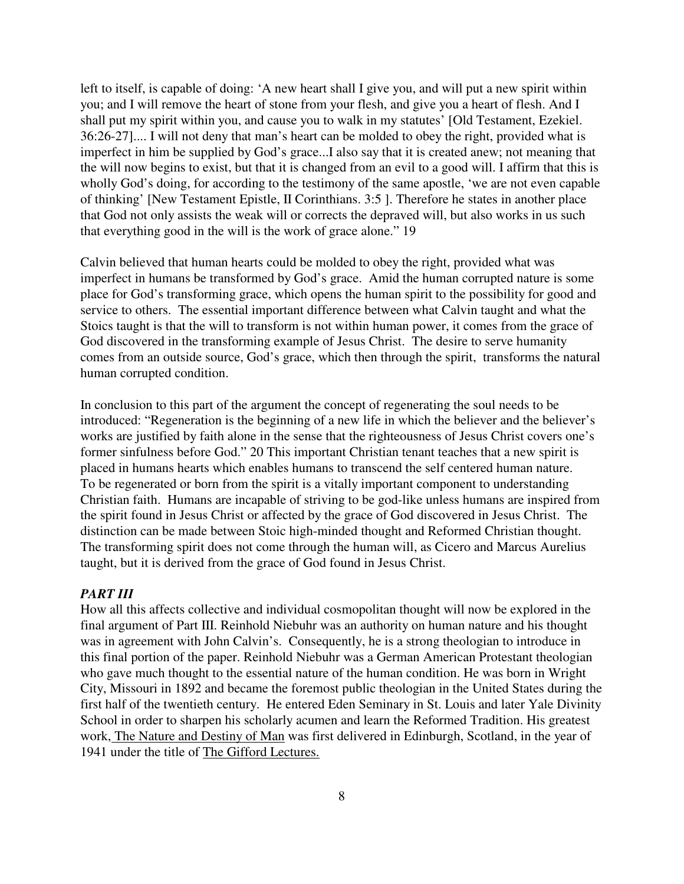left to itself, is capable of doing: 'A new heart shall I give you, and will put a new spirit within you; and I will remove the heart of stone from your flesh, and give you a heart of flesh. And I shall put my spirit within you, and cause you to walk in my statutes' [Old Testament, Ezekiel. 36:26-27].... I will not deny that man's heart can be molded to obey the right, provided what is imperfect in him be supplied by God's grace...I also say that it is created anew; not meaning that the will now begins to exist, but that it is changed from an evil to a good will. I affirm that this is wholly God's doing, for according to the testimony of the same apostle, 'we are not even capable of thinking' [New Testament Epistle, II Corinthians. 3:5 ]. Therefore he states in another place that God not only assists the weak will or corrects the depraved will, but also works in us such that everything good in the will is the work of grace alone." 19

Calvin believed that human hearts could be molded to obey the right, provided what was imperfect in humans be transformed by God's grace. Amid the human corrupted nature is some place for God's transforming grace, which opens the human spirit to the possibility for good and service to others. The essential important difference between what Calvin taught and what the Stoics taught is that the will to transform is not within human power, it comes from the grace of God discovered in the transforming example of Jesus Christ. The desire to serve humanity comes from an outside source, God's grace, which then through the spirit, transforms the natural human corrupted condition.

In conclusion to this part of the argument the concept of regenerating the soul needs to be introduced: "Regeneration is the beginning of a new life in which the believer and the believer's works are justified by faith alone in the sense that the righteousness of Jesus Christ covers one's former sinfulness before God." 20 This important Christian tenant teaches that a new spirit is placed in humans hearts which enables humans to transcend the self centered human nature. To be regenerated or born from the spirit is a vitally important component to understanding Christian faith. Humans are incapable of striving to be god-like unless humans are inspired from the spirit found in Jesus Christ or affected by the grace of God discovered in Jesus Christ. The distinction can be made between Stoic high-minded thought and Reformed Christian thought. The transforming spirit does not come through the human will, as Cicero and Marcus Aurelius taught, but it is derived from the grace of God found in Jesus Christ.

#### *PART III*

How all this affects collective and individual cosmopolitan thought will now be explored in the final argument of Part III. Reinhold Niebuhr was an authority on human nature and his thought was in agreement with John Calvin's. Consequently, he is a strong theologian to introduce in this final portion of the paper. Reinhold Niebuhr was a German American Protestant theologian who gave much thought to the essential nature of the human condition. He was born in Wright City, Missouri in 1892 and became the foremost public theologian in the United States during the first half of the twentieth century. He entered Eden Seminary in St. Louis and later Yale Divinity School in order to sharpen his scholarly acumen and learn the Reformed Tradition. His greatest work, The Nature and Destiny of Man was first delivered in Edinburgh, Scotland, in the year of 1941 under the title of The Gifford Lectures.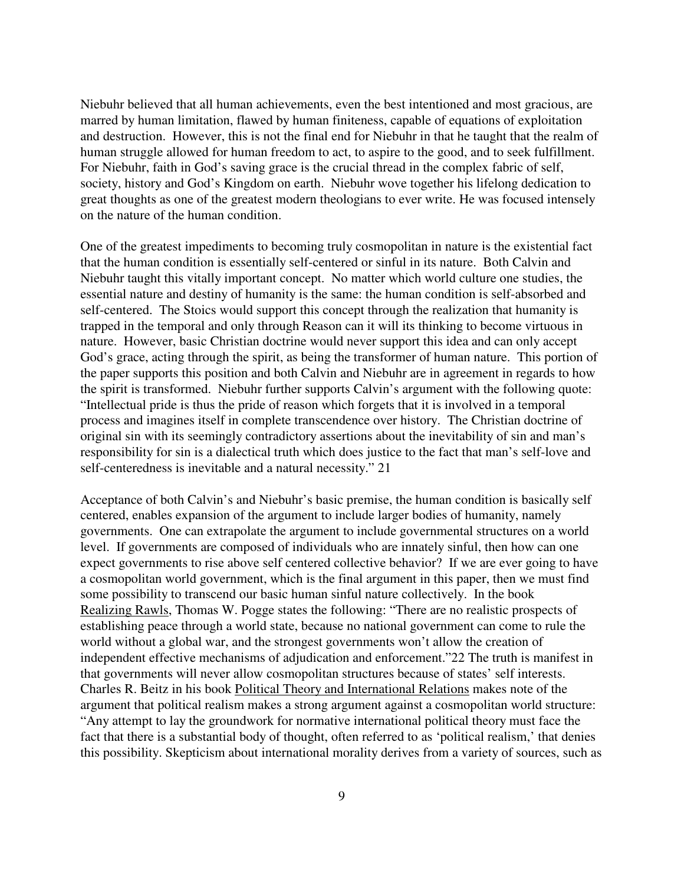Niebuhr believed that all human achievements, even the best intentioned and most gracious, are marred by human limitation, flawed by human finiteness, capable of equations of exploitation and destruction. However, this is not the final end for Niebuhr in that he taught that the realm of human struggle allowed for human freedom to act, to aspire to the good, and to seek fulfillment. For Niebuhr, faith in God's saving grace is the crucial thread in the complex fabric of self, society, history and God's Kingdom on earth. Niebuhr wove together his lifelong dedication to great thoughts as one of the greatest modern theologians to ever write. He was focused intensely on the nature of the human condition.

One of the greatest impediments to becoming truly cosmopolitan in nature is the existential fact that the human condition is essentially self-centered or sinful in its nature. Both Calvin and Niebuhr taught this vitally important concept. No matter which world culture one studies, the essential nature and destiny of humanity is the same: the human condition is self-absorbed and self-centered. The Stoics would support this concept through the realization that humanity is trapped in the temporal and only through Reason can it will its thinking to become virtuous in nature. However, basic Christian doctrine would never support this idea and can only accept God's grace, acting through the spirit, as being the transformer of human nature. This portion of the paper supports this position and both Calvin and Niebuhr are in agreement in regards to how the spirit is transformed. Niebuhr further supports Calvin's argument with the following quote: "Intellectual pride is thus the pride of reason which forgets that it is involved in a temporal process and imagines itself in complete transcendence over history. The Christian doctrine of original sin with its seemingly contradictory assertions about the inevitability of sin and man's responsibility for sin is a dialectical truth which does justice to the fact that man's self-love and self-centeredness is inevitable and a natural necessity." 21

Acceptance of both Calvin's and Niebuhr's basic premise, the human condition is basically self centered, enables expansion of the argument to include larger bodies of humanity, namely governments. One can extrapolate the argument to include governmental structures on a world level. If governments are composed of individuals who are innately sinful, then how can one expect governments to rise above self centered collective behavior? If we are ever going to have a cosmopolitan world government, which is the final argument in this paper, then we must find some possibility to transcend our basic human sinful nature collectively. In the book Realizing Rawls, Thomas W. Pogge states the following: "There are no realistic prospects of establishing peace through a world state, because no national government can come to rule the world without a global war, and the strongest governments won't allow the creation of independent effective mechanisms of adjudication and enforcement."22 The truth is manifest in that governments will never allow cosmopolitan structures because of states' self interests. Charles R. Beitz in his book Political Theory and International Relations makes note of the argument that political realism makes a strong argument against a cosmopolitan world structure: "Any attempt to lay the groundwork for normative international political theory must face the fact that there is a substantial body of thought, often referred to as 'political realism,' that denies this possibility. Skepticism about international morality derives from a variety of sources, such as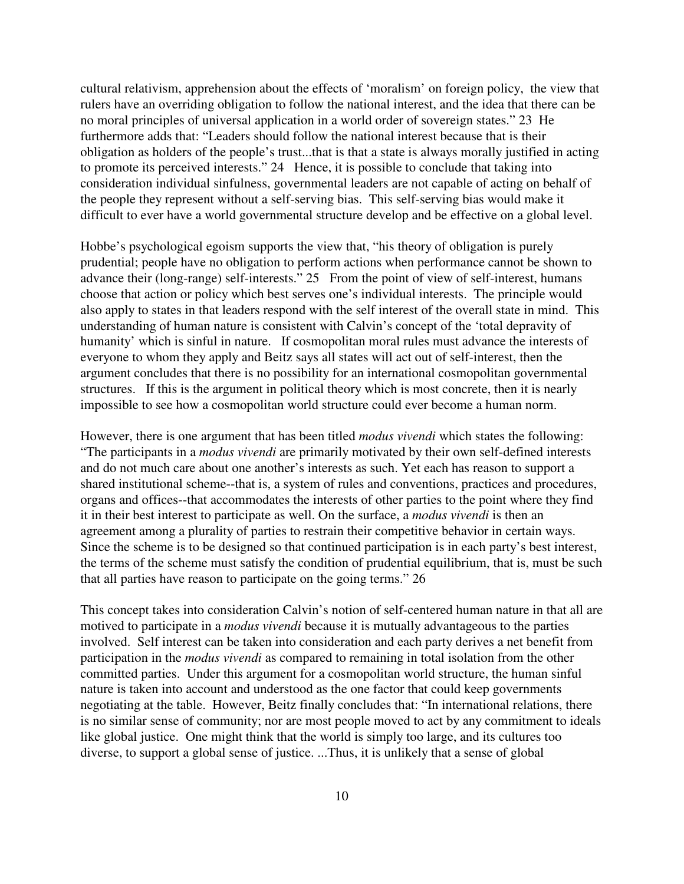cultural relativism, apprehension about the effects of 'moralism' on foreign policy, the view that rulers have an overriding obligation to follow the national interest, and the idea that there can be no moral principles of universal application in a world order of sovereign states." 23 He furthermore adds that: "Leaders should follow the national interest because that is their obligation as holders of the people's trust...that is that a state is always morally justified in acting to promote its perceived interests." 24 Hence, it is possible to conclude that taking into consideration individual sinfulness, governmental leaders are not capable of acting on behalf of the people they represent without a self-serving bias. This self-serving bias would make it difficult to ever have a world governmental structure develop and be effective on a global level.

Hobbe's psychological egoism supports the view that, "his theory of obligation is purely prudential; people have no obligation to perform actions when performance cannot be shown to advance their (long-range) self-interests." 25 From the point of view of self-interest, humans choose that action or policy which best serves one's individual interests. The principle would also apply to states in that leaders respond with the self interest of the overall state in mind. This understanding of human nature is consistent with Calvin's concept of the 'total depravity of humanity' which is sinful in nature. If cosmopolitan moral rules must advance the interests of everyone to whom they apply and Beitz says all states will act out of self-interest, then the argument concludes that there is no possibility for an international cosmopolitan governmental structures. If this is the argument in political theory which is most concrete, then it is nearly impossible to see how a cosmopolitan world structure could ever become a human norm.

However, there is one argument that has been titled *modus vivendi* which states the following: "The participants in a *modus vivendi* are primarily motivated by their own self-defined interests and do not much care about one another's interests as such. Yet each has reason to support a shared institutional scheme--that is, a system of rules and conventions, practices and procedures, organs and offices--that accommodates the interests of other parties to the point where they find it in their best interest to participate as well. On the surface, a *modus vivendi* is then an agreement among a plurality of parties to restrain their competitive behavior in certain ways. Since the scheme is to be designed so that continued participation is in each party's best interest, the terms of the scheme must satisfy the condition of prudential equilibrium, that is, must be such that all parties have reason to participate on the going terms." 26

This concept takes into consideration Calvin's notion of self-centered human nature in that all are motived to participate in a *modus vivendi* because it is mutually advantageous to the parties involved. Self interest can be taken into consideration and each party derives a net benefit from participation in the *modus vivendi* as compared to remaining in total isolation from the other committed parties. Under this argument for a cosmopolitan world structure, the human sinful nature is taken into account and understood as the one factor that could keep governments negotiating at the table. However, Beitz finally concludes that: "In international relations, there is no similar sense of community; nor are most people moved to act by any commitment to ideals like global justice. One might think that the world is simply too large, and its cultures too diverse, to support a global sense of justice. ...Thus, it is unlikely that a sense of global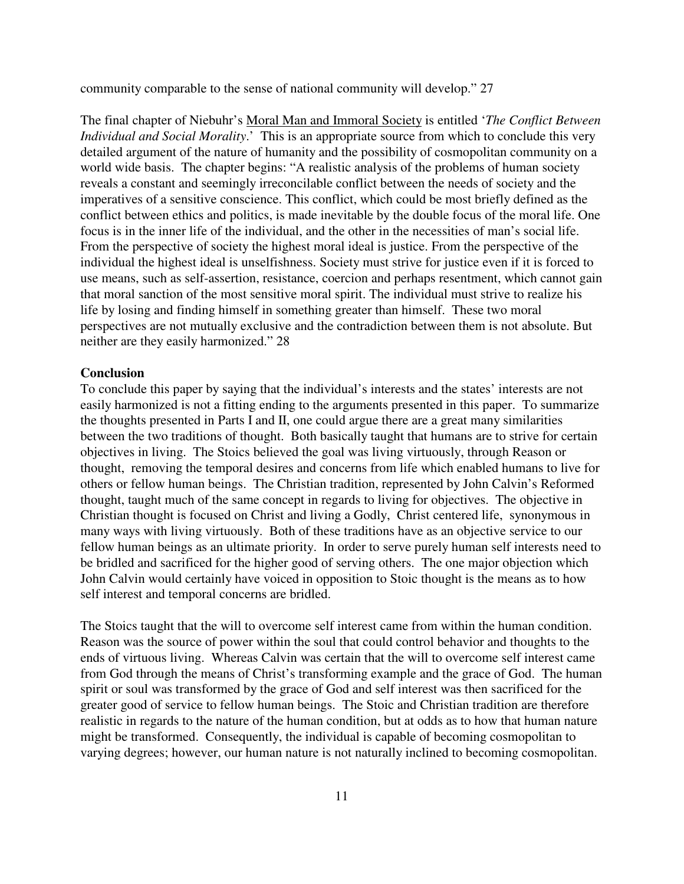community comparable to the sense of national community will develop." 27

The final chapter of Niebuhr's Moral Man and Immoral Society is entitled '*The Conflict Between Individual and Social Morality*.' This is an appropriate source from which to conclude this very detailed argument of the nature of humanity and the possibility of cosmopolitan community on a world wide basis. The chapter begins: "A realistic analysis of the problems of human society reveals a constant and seemingly irreconcilable conflict between the needs of society and the imperatives of a sensitive conscience. This conflict, which could be most briefly defined as the conflict between ethics and politics, is made inevitable by the double focus of the moral life. One focus is in the inner life of the individual, and the other in the necessities of man's social life. From the perspective of society the highest moral ideal is justice. From the perspective of the individual the highest ideal is unselfishness. Society must strive for justice even if it is forced to use means, such as self-assertion, resistance, coercion and perhaps resentment, which cannot gain that moral sanction of the most sensitive moral spirit. The individual must strive to realize his life by losing and finding himself in something greater than himself. These two moral perspectives are not mutually exclusive and the contradiction between them is not absolute. But neither are they easily harmonized." 28

#### **Conclusion**

To conclude this paper by saying that the individual's interests and the states' interests are not easily harmonized is not a fitting ending to the arguments presented in this paper. To summarize the thoughts presented in Parts I and II, one could argue there are a great many similarities between the two traditions of thought. Both basically taught that humans are to strive for certain objectives in living. The Stoics believed the goal was living virtuously, through Reason or thought, removing the temporal desires and concerns from life which enabled humans to live for others or fellow human beings. The Christian tradition, represented by John Calvin's Reformed thought, taught much of the same concept in regards to living for objectives. The objective in Christian thought is focused on Christ and living a Godly, Christ centered life, synonymous in many ways with living virtuously. Both of these traditions have as an objective service to our fellow human beings as an ultimate priority. In order to serve purely human self interests need to be bridled and sacrificed for the higher good of serving others. The one major objection which John Calvin would certainly have voiced in opposition to Stoic thought is the means as to how self interest and temporal concerns are bridled.

The Stoics taught that the will to overcome self interest came from within the human condition. Reason was the source of power within the soul that could control behavior and thoughts to the ends of virtuous living. Whereas Calvin was certain that the will to overcome self interest came from God through the means of Christ's transforming example and the grace of God. The human spirit or soul was transformed by the grace of God and self interest was then sacrificed for the greater good of service to fellow human beings. The Stoic and Christian tradition are therefore realistic in regards to the nature of the human condition, but at odds as to how that human nature might be transformed. Consequently, the individual is capable of becoming cosmopolitan to varying degrees; however, our human nature is not naturally inclined to becoming cosmopolitan.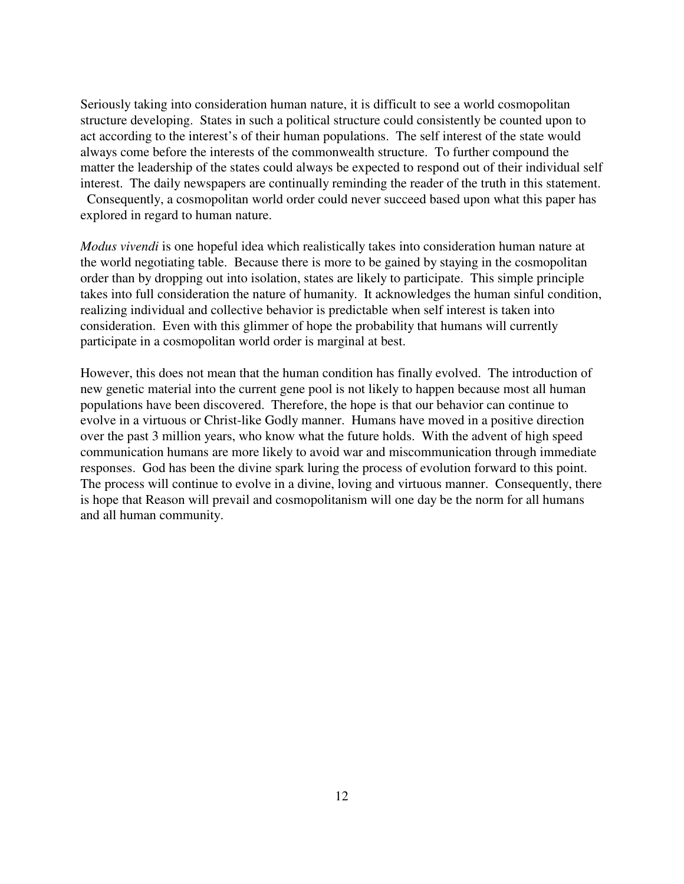Seriously taking into consideration human nature, it is difficult to see a world cosmopolitan structure developing. States in such a political structure could consistently be counted upon to act according to the interest's of their human populations. The self interest of the state would always come before the interests of the commonwealth structure. To further compound the matter the leadership of the states could always be expected to respond out of their individual self interest. The daily newspapers are continually reminding the reader of the truth in this statement.

 Consequently, a cosmopolitan world order could never succeed based upon what this paper has explored in regard to human nature.

*Modus vivendi* is one hopeful idea which realistically takes into consideration human nature at the world negotiating table. Because there is more to be gained by staying in the cosmopolitan order than by dropping out into isolation, states are likely to participate. This simple principle takes into full consideration the nature of humanity. It acknowledges the human sinful condition, realizing individual and collective behavior is predictable when self interest is taken into consideration. Even with this glimmer of hope the probability that humans will currently participate in a cosmopolitan world order is marginal at best.

However, this does not mean that the human condition has finally evolved. The introduction of new genetic material into the current gene pool is not likely to happen because most all human populations have been discovered. Therefore, the hope is that our behavior can continue to evolve in a virtuous or Christ-like Godly manner. Humans have moved in a positive direction over the past 3 million years, who know what the future holds. With the advent of high speed communication humans are more likely to avoid war and miscommunication through immediate responses. God has been the divine spark luring the process of evolution forward to this point. The process will continue to evolve in a divine, loving and virtuous manner. Consequently, there is hope that Reason will prevail and cosmopolitanism will one day be the norm for all humans and all human community.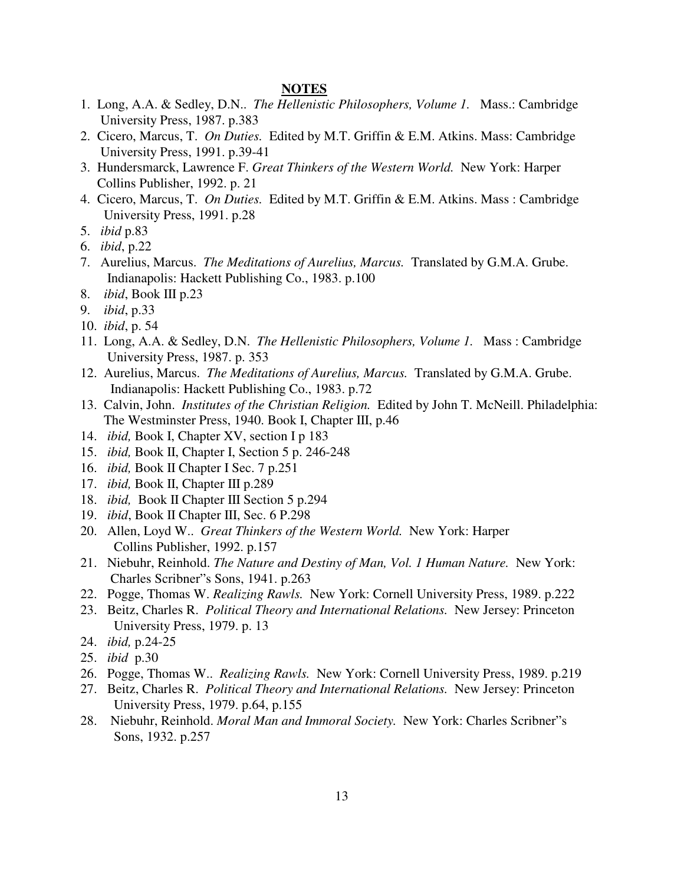#### **NOTES**

- 1. Long, A.A. & Sedley, D.N.. *The Hellenistic Philosophers, Volume 1.* Mass.: Cambridge University Press, 1987. p.383
- 2. Cicero, Marcus, T. *On Duties.* Edited by M.T. Griffin & E.M. Atkins. Mass: Cambridge University Press, 1991. p.39-41
- 3. Hundersmarck, Lawrence F. *Great Thinkers of the Western World.* New York: Harper Collins Publisher, 1992. p. 21
- 4. Cicero, Marcus, T. *On Duties.* Edited by M.T. Griffin & E.M. Atkins. Mass : Cambridge University Press, 1991. p.28
- 5. *ibid* p.83
- 6. *ibid*, p.22
- 7. Aurelius, Marcus. *The Meditations of Aurelius, Marcus.* Translated by G.M.A. Grube. Indianapolis: Hackett Publishing Co., 1983. p.100
- 8. *ibid*, Book III p.23
- 9. *ibid*, p.33
- 10. *ibid*, p. 54
- 11. Long, A.A. & Sedley, D.N. *The Hellenistic Philosophers, Volume 1.* Mass : Cambridge University Press, 1987. p. 353
- 12. Aurelius, Marcus. *The Meditations of Aurelius, Marcus.* Translated by G.M.A. Grube. Indianapolis: Hackett Publishing Co., 1983. p.72
- 13. Calvin, John. *Institutes of the Christian Religion.* Edited by John T. McNeill. Philadelphia: The Westminster Press, 1940. Book I, Chapter III, p.46
- 14. *ibid,* Book I, Chapter XV, section I p 183
- 15. *ibid,* Book II, Chapter I, Section 5 p. 246-248
- 16. *ibid,* Book II Chapter I Sec. 7 p.251
- 17. *ibid,* Book II, Chapter III p.289
- 18. *ibid,* Book II Chapter III Section 5 p.294
- 19. *ibid*, Book II Chapter III, Sec. 6 P.298
- 20. Allen, Loyd W.. *Great Thinkers of the Western World.* New York: Harper Collins Publisher, 1992. p.157
- 21. Niebuhr, Reinhold. *The Nature and Destiny of Man, Vol. 1 Human Nature.* New York: Charles Scribner"s Sons, 1941. p.263
- 22. Pogge, Thomas W. *Realizing Rawls.* New York: Cornell University Press, 1989. p.222
- 23. Beitz, Charles R. *Political Theory and International Relations.* New Jersey: Princeton University Press, 1979. p. 13
- 24. *ibid,* p.24-25
- 25. *ibid* p.30
- 26. Pogge, Thomas W.. *Realizing Rawls.* New York: Cornell University Press, 1989. p.219
- 27. Beitz, Charles R. *Political Theory and International Relations.* New Jersey: Princeton University Press, 1979. p.64, p.155
- 28. Niebuhr, Reinhold. *Moral Man and Immoral Society.* New York: Charles Scribner"s Sons, 1932. p.257